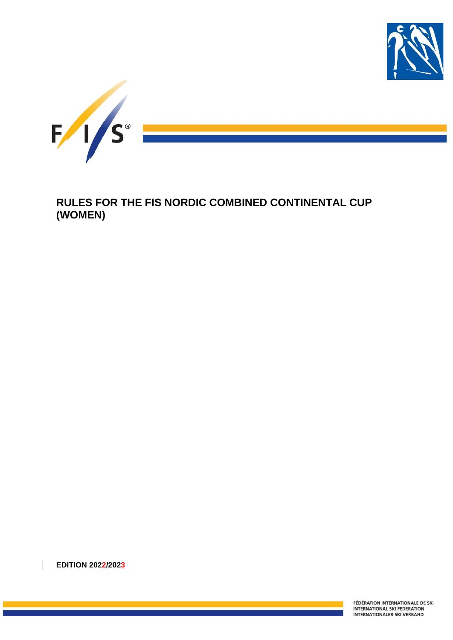



**RULES FOR THE FIS NORDIC COMBINED CONTINENTAL CUP (WOMEN)**

**EDITION 2022/2023**

FÉDÉRATION INTERNATIONALE DE SKI INTERNATIONAL SKI FEDERATION **INTERNATIONALER SKI VERBAND**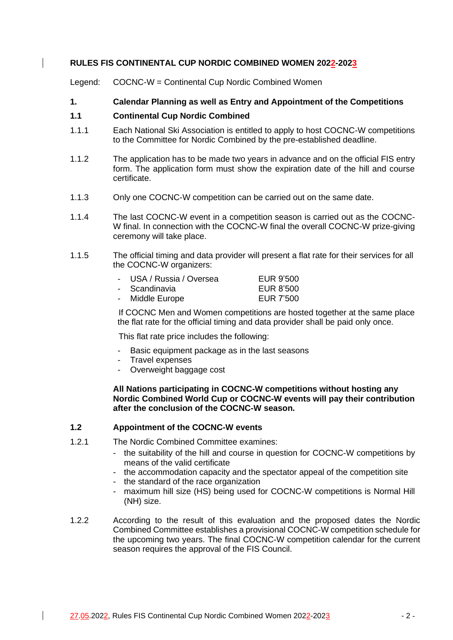## **RULES FIS CONTINENTAL CUP NORDIC COMBINED WOMEN 2022-2023**

Legend: COCNC-W = Continental Cup Nordic Combined Women

# **1. Calendar Planning as well as Entry and Appointment of the Competitions**

### **1.1 Continental Cup Nordic Combined**

- 1.1.1 Each National Ski Association is entitled to apply to host COCNC-W competitions to the Committee for Nordic Combined by the pre-established deadline.
- 1.1.2 The application has to be made two years in advance and on the official FIS entry form. The application form must show the expiration date of the hill and course certificate.
- 1.1.3 Only one COCNC-W competition can be carried out on the same date.
- 1.1.4 The last COCNC-W event in a competition season is carried out as the COCNC-W final. In connection with the COCNC-W final the overall COCNC-W prize-giving ceremony will take place.
- 1.1.5 The official timing and data provider will present a flat rate for their services for all the COCNC-W organizers:

| - USA / Russia / Oversea | EUR 9'500 |
|--------------------------|-----------|
| - Scandinavia            | EUR 8'500 |
| Middle Europe            | FID 7500  |

- Middle Europe **EUR 7'500** 

If COCNC Men and Women competitions are hosted together at the same place the flat rate for the official timing and data provider shall be paid only once.

This flat rate price includes the following:

- Basic equipment package as in the last seasons
- Travel expenses
- Overweight baggage cost

**All Nations participating in COCNC-W competitions without hosting any Nordic Combined World Cup or COCNC-W events will pay their contribution after the conclusion of the COCNC-W season.**

### **1.2 Appointment of the COCNC-W events**

- 1.2.1 The Nordic Combined Committee examines:
	- the suitability of the hill and course in question for COCNC-W competitions by means of the valid certificate
	- the accommodation capacity and the spectator appeal of the competition site
	- the standard of the race organization
	- maximum hill size (HS) being used for COCNC-W competitions is Normal Hill (NH) size.
- 1.2.2 According to the result of this evaluation and the proposed dates the Nordic Combined Committee establishes a provisional COCNC-W competition schedule for the upcoming two years. The final COCNC-W competition calendar for the current season requires the approval of the FIS Council.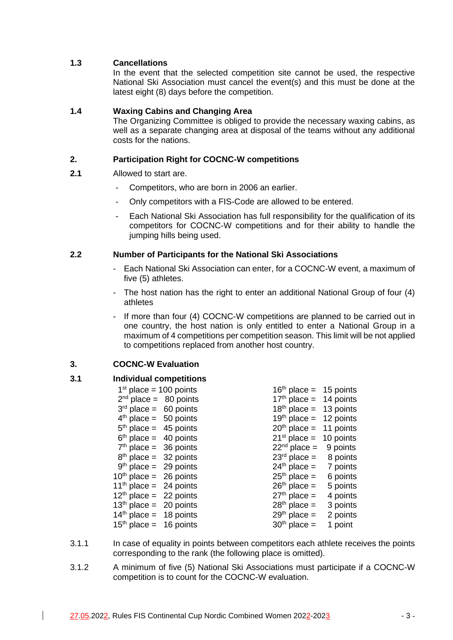# **1.3 Cancellations**

In the event that the selected competition site cannot be used, the respective National Ski Association must cancel the event(s) and this must be done at the latest eight (8) days before the competition.

# **1.4 Waxing Cabins and Changing Area**

The Organizing Committee is obliged to provide the necessary waxing cabins, as well as a separate changing area at disposal of the teams without any additional costs for the nations.

# **2. Participation Right for COCNC-W competitions**

- **2.1** Allowed to start are.
	- Competitors, who are born in 2006 an earlier.
	- Only competitors with a FIS-Code are allowed to be entered.
	- Each National Ski Association has full responsibility for the qualification of its competitors for COCNC-W competitions and for their ability to handle the jumping hills being used.

# **2.2 Number of Participants for the National Ski Associations**

- Each National Ski Association can enter, for a COCNC-W event, a maximum of five (5) athletes.
- The host nation has the right to enter an additional National Group of four (4) athletes
- If more than four (4) COCNC-W competitions are planned to be carried out in one country, the host nation is only entitled to enter a National Group in a maximum of 4 competitions per competition season. This limit will be not applied to competitions replaced from another host country.

# **3. COCNC-W Evaluation**

### **3.1 Individual competitions**

| $1st$ place = 100 points           | $16th$ place = 15 points |          |
|------------------------------------|--------------------------|----------|
| $2nd$ place = 80 points            | $17th$ place = 14 points |          |
| $3rd$ place = 60 points            | $18th$ place = 13 points |          |
| $4th$ place = 50 points            | $19th$ place = 12 points |          |
| $5th$ place = 45 points            | $20th$ place = 11 points |          |
| $6th$ place = 40 points            | $21st$ place = 10 points |          |
| $7th$ place = 36 points            | $22nd$ place = 9 points  |          |
| $8th$ place = 32 points            | $23rd$ place = 8 points  |          |
| $9th$ place = 29 points            | $24th$ place = 7 points  |          |
| $10th$ place = 26 points           | $25th$ place =           | 6 points |
| 11 <sup>th</sup> place = 24 points | $26th$ place =           | 5 points |
| $12th$ place = 22 points           | $27th$ place =           | 4 points |
| $13th$ place = 20 points           | $28th$ place =           | 3 points |
| $14th$ place = 18 points           | $29th$ place =           | 2 points |
| $15th$ place = 16 points           | $30th$ place =           | 1 point  |

- 3.1.1 In case of equality in points between competitors each athlete receives the points corresponding to the rank (the following place is omitted).
- 3.1.2 A minimum of five (5) National Ski Associations must participate if a COCNC-W competition is to count for the COCNC-W evaluation.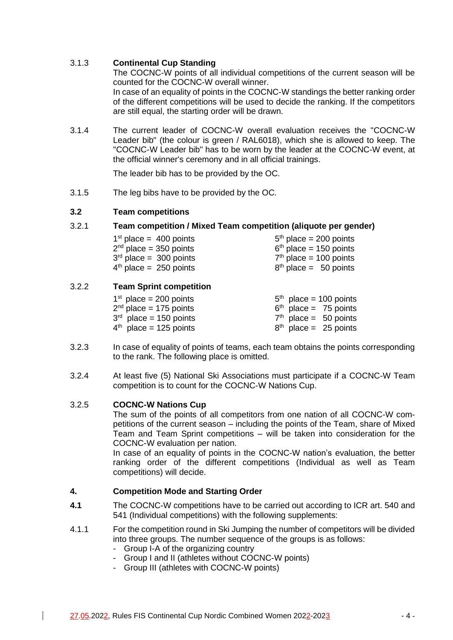# 3.1.3 **Continental Cup Standing**

The COCNC-W points of all individual competitions of the current season will be counted for the COCNC-W overall winner. In case of an equality of points in the COCNC-W standings the better ranking order of the different competitions will be used to decide the ranking. If the competitors are still equal, the starting order will be drawn.

3.1.4 The current leader of COCNC-W overall evaluation receives the "COCNC-W Leader bib" (the colour is green / RAL6018), which she is allowed to keep. The "COCNC-W Leader bib" has to be worn by the leader at the COCNC-W event, at the official winner's ceremony and in all official trainings.

The leader bib has to be provided by the OC.

3.1.5 The leg bibs have to be provided by the OC.

# **3.2 Team competitions**

### 3.2.1 **Team competition / Mixed Team competition (aliquote per gender)**

| $1st$ place = 400 points | $5th$ place = 200 points |
|--------------------------|--------------------------|
| $2nd$ place = 350 points | $6th$ place = 150 points |
| $3rd$ place = 300 points | $7th$ place = 100 points |
| $4th$ place = 250 points | $8th$ place = 50 points  |

# 3.2.2 **Team Sprint competition**

| $1st$ place = 200 points | $5th$ place = 100 points |
|--------------------------|--------------------------|
| $2nd$ place = 175 points | $6th$ place = 75 points  |
| $3rd$ place = 150 points | $7th$ place = 50 points  |
| $4th$ place = 125 points | $8th$ place = 25 points  |

- 3.2.3 In case of equality of points of teams, each team obtains the points corresponding to the rank. The following place is omitted.
- 3.2.4 At least five (5) National Ski Associations must participate if a COCNC-W Team competition is to count for the COCNC-W Nations Cup.

# 3.2.5 **COCNC-W Nations Cup**

The sum of the points of all competitors from one nation of all COCNC-W competitions of the current season – including the points of the Team, share of Mixed Team and Team Sprint competitions – will be taken into consideration for the COCNC-W evaluation per nation.

In case of an equality of points in the COCNC-W nation's evaluation, the better ranking order of the different competitions (Individual as well as Team competitions) will decide.

# **4. Competition Mode and Starting Order**

- **4.1** The COCNC-W competitions have to be carried out according to ICR art. 540 and 541 (Individual competitions) with the following supplements:
- 4.1.1 For the competition round in Ski Jumping the number of competitors will be divided into three groups. The number sequence of the groups is as follows:
	- Group I-A of the organizing country
	- Group I and II (athletes without COCNC-W points)
	- Group III (athletes with COCNC-W points)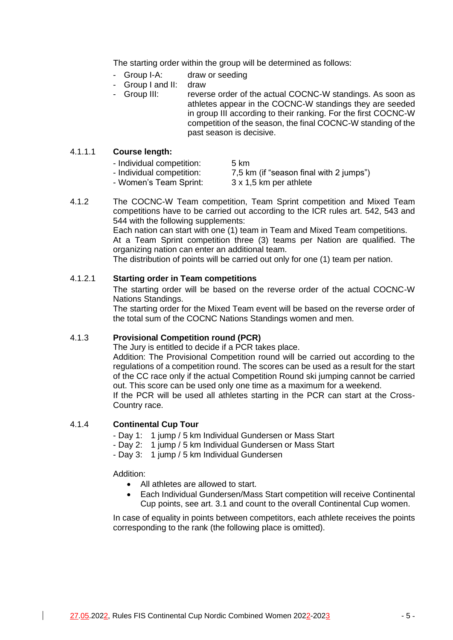The starting order within the group will be determined as follows:

- Group I-A: draw or seeding
- Group I and II: draw
- Group III: reverse order of the actual COCNC-W standings. As soon as athletes appear in the COCNC-W standings they are seeded in group III according to their ranking. For the first COCNC-W competition of the season, the final COCNC-W standing of the past season is decisive.

### 4.1.1.1 **Course length:**

| - Individual competition: | 5 km                                    |
|---------------------------|-----------------------------------------|
| - Individual competition: | 7,5 km (if "season final with 2 jumps") |
| - Women's Team Sprint:    | 3 x 1,5 km per athlete                  |

- www.adi.competition.<br>3 Women's Team Sprint:
	-
- 4.1.2 The COCNC-W Team competition, Team Sprint competition and Mixed Team competitions have to be carried out according to the ICR rules art. 542, 543 and 544 with the following supplements:

Each nation can start with one (1) team in Team and Mixed Team competitions. At a Team Sprint competition three (3) teams per Nation are qualified. The organizing nation can enter an additional team.

The distribution of points will be carried out only for one (1) team per nation.

# 4.1.2.1 **Starting order in Team competitions**

The starting order will be based on the reverse order of the actual COCNC-W Nations Standings.

The starting order for the Mixed Team event will be based on the reverse order of the total sum of the COCNC Nations Standings women and men.

### 4.1.3 **Provisional Competition round (PCR)**

The Jury is entitled to decide if a PCR takes place.

Addition: The Provisional Competition round will be carried out according to the regulations of a competition round. The scores can be used as a result for the start of the CC race only if the actual Competition Round ski jumping cannot be carried out. This score can be used only one time as a maximum for a weekend. If the PCR will be used all athletes starting in the PCR can start at the Cross-Country race.

# 4.1.4 **Continental Cup Tour**

- Day 1: 1 jump / 5 km Individual Gundersen or Mass Start
- Day 2: 1 jump / 5 km Individual Gundersen or Mass Start
- Day 3: 1 jump / 5 km Individual Gundersen

#### Addition:

- All athletes are allowed to start.
- Each Individual Gundersen/Mass Start competition will receive Continental Cup points, see art. 3.1 and count to the overall Continental Cup women.

In case of equality in points between competitors, each athlete receives the points corresponding to the rank (the following place is omitted).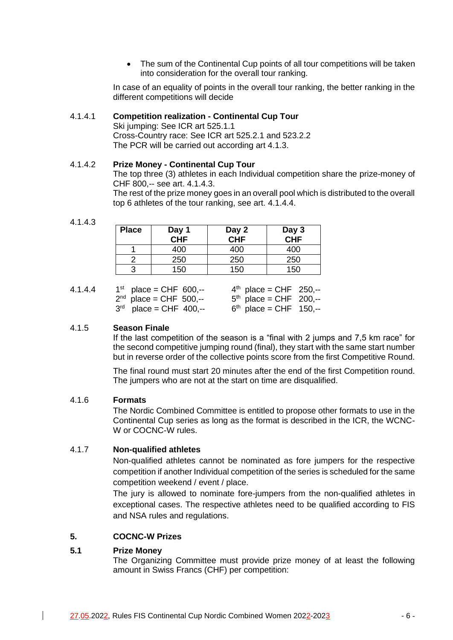• The sum of the Continental Cup points of all tour competitions will be taken into consideration for the overall tour ranking.

In case of an equality of points in the overall tour ranking, the better ranking in the different competitions will decide

#### 4.1.4.1 **Competition realization - Continental Cup Tour**

Ski jumping: See ICR art 525.1.1 Cross-Country race: See ICR art 525.2.1 and 523.2.2 The PCR will be carried out according art 4.1.3.

#### 4.1.4.2 **Prize Money - Continental Cup Tour**

The top three (3) athletes in each Individual competition share the prize-money of CHF 800,-- see art. 4.1.4.3.

The rest of the prize money goes in an overall pool which is distributed to the overall top 6 athletes of the tour ranking, see art. 4.1.4.4.

4.1.4.3

| <b>Place</b> | Day 1<br>CHF | Day 2<br>CHF | Day 3<br>CHF |
|--------------|--------------|--------------|--------------|
|              | 400          | 400          | 400          |
|              | 250          | 250          | 250          |
|              | 150          | 150          | 150          |

| 4.1.4.4 | $1^{st}$ place = CHF 600,-- | $4^{th}$ place = CHF 250,-- |
|---------|-----------------------------|-----------------------------|
|         | $2^{nd}$ place = CHF 500,-- | $5th$ place = CHF 200,--    |
|         | $3^{rd}$ place = CHF 400,-- | $6th$ place = CHF 150,--    |

### 4.1.5 **Season Finale**

If the last competition of the season is a "final with 2 jumps and 7,5 km race" for the second competitive jumping round (final), they start with the same start number but in reverse order of the collective points score from the first Competitive Round.

The final round must start 20 minutes after the end of the first Competition round. The jumpers who are not at the start on time are disqualified.

### 4.1.6 **Formats**

The Nordic Combined Committee is entitled to propose other formats to use in the Continental Cup series as long as the format is described in the ICR, the WCNC-W or COCNC-W rules.

### 4.1.7 **Non-qualified athletes**

Non-qualified athletes cannot be nominated as fore jumpers for the respective competition if another Individual competition of the series is scheduled for the same competition weekend / event / place.

The jury is allowed to nominate fore-jumpers from the non-qualified athletes in exceptional cases. The respective athletes need to be qualified according to FIS and NSA rules and regulations.

# **5. COCNC-W Prizes**

### **5.1 Prize Money**

The Organizing Committee must provide prize money of at least the following amount in Swiss Francs (CHF) per competition: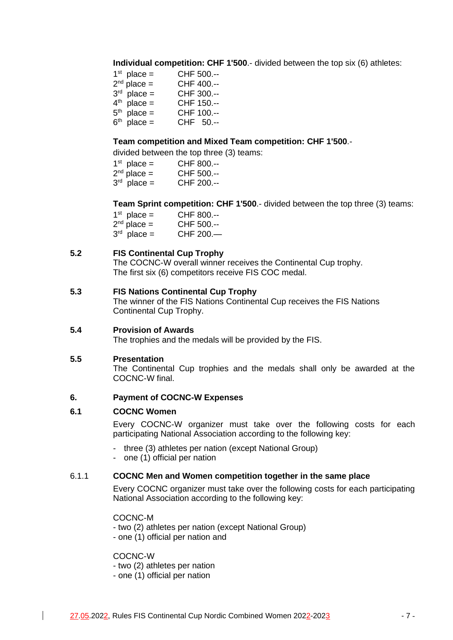**Individual competition: CHF 1'500**.- divided between the top six (6) athletes:

| $1st$ place =    | CHF 500.-- |
|------------------|------------|
| $2nd$ place =    | CHF 400 -- |
| $3rd$ place =    | CHF 300.-- |
| $4^{th}$ place = | CHF 150.-- |
| $5th$ place =    | CHF 100.-- |
| $6th$ place =    | CHF 50.--  |

# **Team competition and Mixed Team competition: CHF 1'500**.-

divided between the top three (3) teams:

| $1st$ place =      | CHF 800.-- |
|--------------------|------------|
| $2nd place =$      | CHF 500.-- |
| $2^{rd}$ place $-$ | CHE JOO    |

 $3<sup>rd</sup>$  place = CHF 200.--

**Team Sprint competition: CHF 1'500**.- divided between the top three (3) teams:

| $1st$ place = | CHF 800.-- |
|---------------|------------|
| $2nd$ place = | CHF 500.-- |
| $3rd$ place = | CHF 200.-  |

### **5.2 FIS Continental Cup Trophy**

The COCNC-W overall winner receives the Continental Cup trophy. The first six (6) competitors receive FIS COC medal.

#### **5.3 FIS Nations Continental Cup Trophy**

The winner of the FIS Nations Continental Cup receives the FIS Nations Continental Cup Trophy.

## **5.4 Provision of Awards**

The trophies and the medals will be provided by the FIS.

### **5.5 Presentation**

The Continental Cup trophies and the medals shall only be awarded at the COCNC-W final.

### **6. Payment of COCNC-W Expenses**

### **6.1 COCNC Women**

Every COCNC-W organizer must take over the following costs for each participating National Association according to the following key:

- three (3) athletes per nation (except National Group)
- one (1) official per nation

### 6.1.1 **COCNC Men and Women competition together in the same place**

Every COCNC organizer must take over the following costs for each participating National Association according to the following key:

COCNC-M

- two (2) athletes per nation (except National Group)

- one (1) official per nation and

COCNC-W

- two (2) athletes per nation

- one (1) official per nation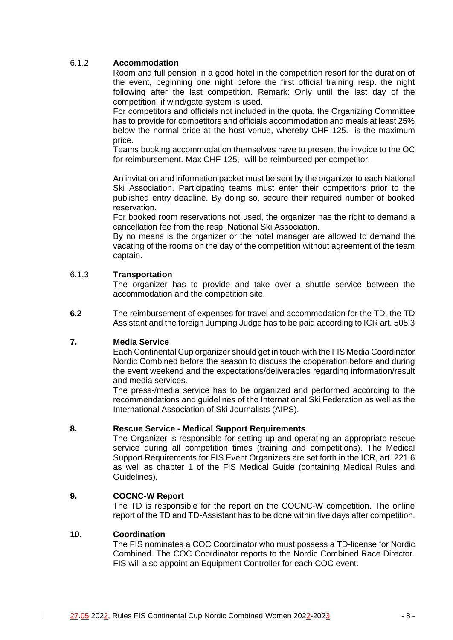# 6.1.2 **Accommodation**

Room and full pension in a good hotel in the competition resort for the duration of the event, beginning one night before the first official training resp. the night following after the last competition. Remark: Only until the last day of the competition, if wind/gate system is used.

For competitors and officials not included in the quota, the Organizing Committee has to provide for competitors and officials accommodation and meals at least 25% below the normal price at the host venue, whereby CHF 125.- is the maximum price.

Teams booking accommodation themselves have to present the invoice to the OC for reimbursement. Max CHF 125,- will be reimbursed per competitor.

An invitation and information packet must be sent by the organizer to each National Ski Association. Participating teams must enter their competitors prior to the published entry deadline. By doing so, secure their required number of booked reservation.

For booked room reservations not used, the organizer has the right to demand a cancellation fee from the resp. National Ski Association.

By no means is the organizer or the hotel manager are allowed to demand the vacating of the rooms on the day of the competition without agreement of the team captain.

### 6.1.3 **Transportation**

The organizer has to provide and take over a shuttle service between the accommodation and the competition site.

**6.2** The reimbursement of expenses for travel and accommodation for the TD, the TD Assistant and the foreign Jumping Judge has to be paid according to ICR art. 505.3

### **7. Media Service**

Each Continental Cup organizer should get in touch with the FIS Media Coordinator Nordic Combined before the season to discuss the cooperation before and during the event weekend and the expectations/deliverables regarding information/result and media services.

The press-/media service has to be organized and performed according to the recommendations and guidelines of the International Ski Federation as well as the International Association of Ski Journalists (AIPS).

### **8. Rescue Service - Medical Support Requirements**

The Organizer is responsible for setting up and operating an appropriate rescue service during all competition times (training and competitions). The Medical Support Requirements for FIS Event Organizers are set forth in the ICR, art. 221.6 as well as chapter 1 of the FIS Medical Guide (containing Medical Rules and Guidelines).

### **9. COCNC-W Report**

The TD is responsible for the report on the COCNC-W competition. The online report of the TD and TD-Assistant has to be done within five days after competition.

#### **10. Coordination**

The FIS nominates a COC Coordinator who must possess a TD-license for Nordic Combined. The COC Coordinator reports to the Nordic Combined Race Director. FIS will also appoint an Equipment Controller for each COC event.